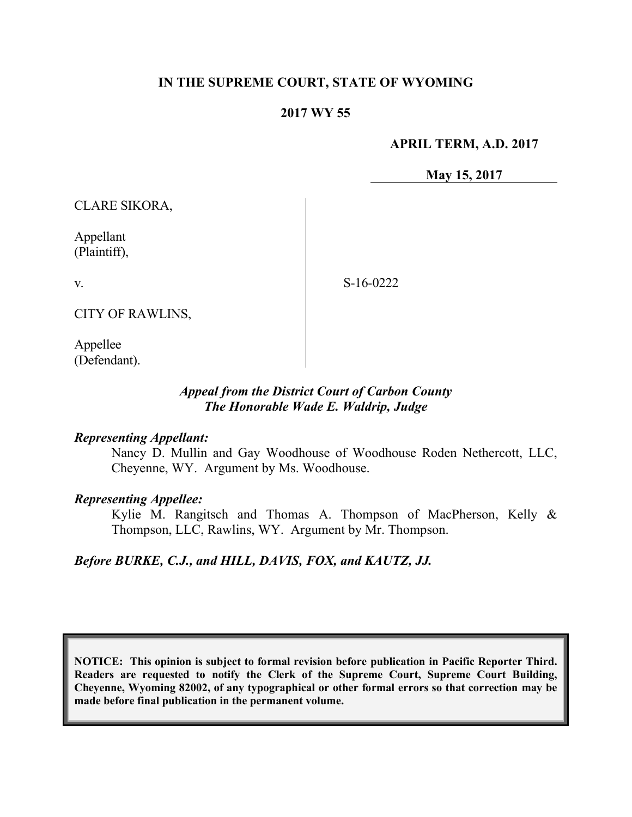## **IN THE SUPREME COURT, STATE OF WYOMING**

## **2017 WY 55**

#### **APRIL TERM, A.D. 2017**

**May 15, 2017**

CLARE SIKORA,

Appellant (Plaintiff),

v.

S-16-0222

CITY OF RAWLINS,

Appellee (Defendant).

## *Appeal from the District Court of Carbon County The Honorable Wade E. Waldrip, Judge*

#### *Representing Appellant:*

Nancy D. Mullin and Gay Woodhouse of Woodhouse Roden Nethercott, LLC, Cheyenne, WY. Argument by Ms. Woodhouse.

#### *Representing Appellee:*

Kylie M. Rangitsch and Thomas A. Thompson of MacPherson, Kelly & Thompson, LLC, Rawlins, WY. Argument by Mr. Thompson.

### *Before BURKE, C.J., and HILL, DAVIS, FOX, and KAUTZ, JJ.*

**NOTICE: This opinion is subject to formal revision before publication in Pacific Reporter Third. Readers are requested to notify the Clerk of the Supreme Court, Supreme Court Building, Cheyenne, Wyoming 82002, of any typographical or other formal errors so that correction may be made before final publication in the permanent volume.**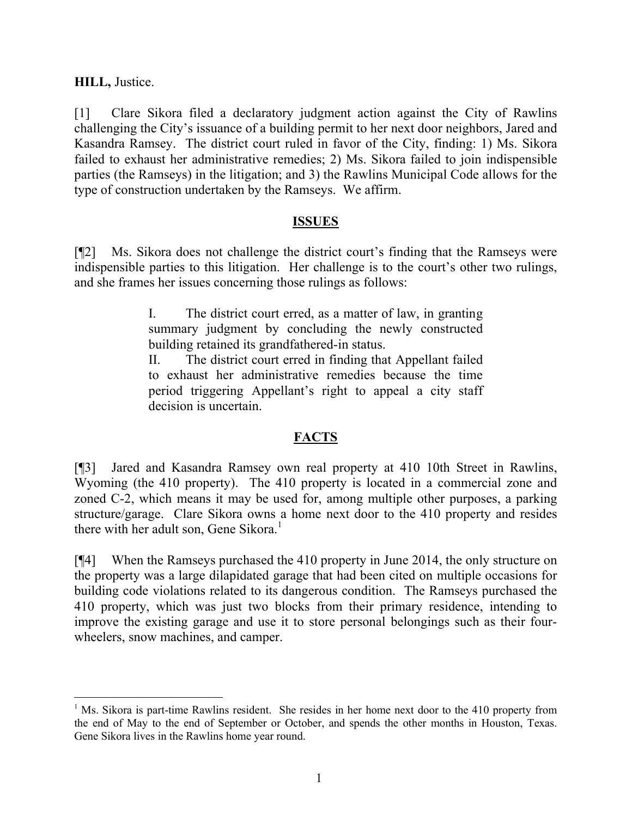**HILL,** Justice.

l

[1] Clare Sikora filed a declaratory judgment action against the City of Rawlins challenging the City's issuance of a building permit to her next door neighbors, Jared and Kasandra Ramsey. The district court ruled in favor of the City, finding: 1) Ms. Sikora failed to exhaust her administrative remedies; 2) Ms. Sikora failed to join indispensible parties (the Ramseys) in the litigation; and 3) the Rawlins Municipal Code allows for the type of construction undertaken by the Ramseys. We affirm.

### **ISSUES**

[¶2] Ms. Sikora does not challenge the district court's finding that the Ramseys were indispensible parties to this litigation. Her challenge is to the court's other two rulings, and she frames her issues concerning those rulings as follows:

> I. The district court erred, as a matter of law, in granting summary judgment by concluding the newly constructed building retained its grandfathered-in status.

> II. The district court erred in finding that Appellant failed to exhaust her administrative remedies because the time period triggering Appellant's right to appeal a city staff decision is uncertain.

# **FACTS**

[¶3] Jared and Kasandra Ramsey own real property at 410 10th Street in Rawlins, Wyoming (the 410 property). The 410 property is located in a commercial zone and zoned C-2, which means it may be used for, among multiple other purposes, a parking structure/garage. Clare Sikora owns a home next door to the 410 property and resides there with her adult son, Gene Sikora.<sup>1</sup>

[¶4] When the Ramseys purchased the 410 property in June 2014, the only structure on the property was a large dilapidated garage that had been cited on multiple occasions for building code violations related to its dangerous condition. The Ramseys purchased the 410 property, which was just two blocks from their primary residence, intending to improve the existing garage and use it to store personal belongings such as their fourwheelers, snow machines, and camper.

<sup>&</sup>lt;sup>1</sup> Ms. Sikora is part-time Rawlins resident. She resides in her home next door to the 410 property from the end of May to the end of September or October, and spends the other months in Houston, Texas. Gene Sikora lives in the Rawlins home year round.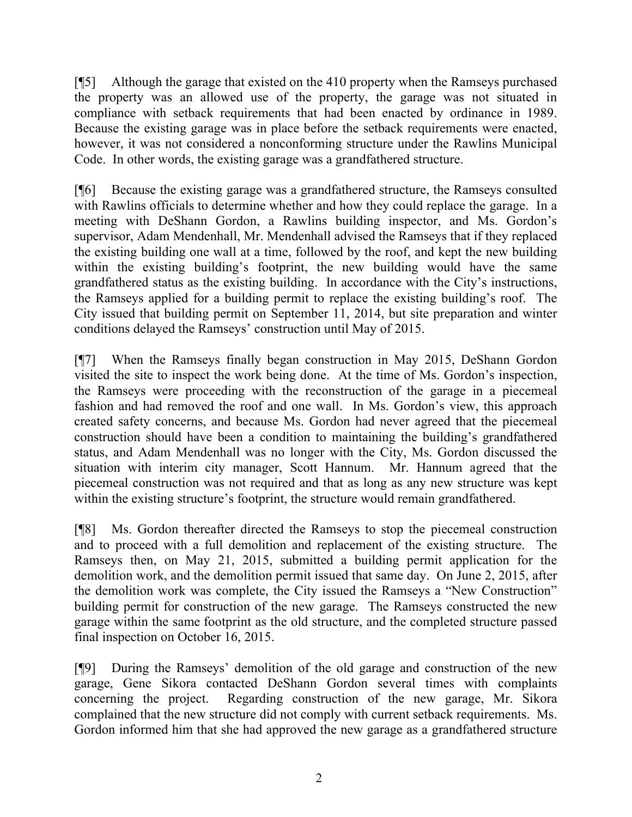[¶5] Although the garage that existed on the 410 property when the Ramseys purchased the property was an allowed use of the property, the garage was not situated in compliance with setback requirements that had been enacted by ordinance in 1989. Because the existing garage was in place before the setback requirements were enacted, however, it was not considered a nonconforming structure under the Rawlins Municipal Code. In other words, the existing garage was a grandfathered structure.

[¶6] Because the existing garage was a grandfathered structure, the Ramseys consulted with Rawlins officials to determine whether and how they could replace the garage. In a meeting with DeShann Gordon, a Rawlins building inspector, and Ms. Gordon's supervisor, Adam Mendenhall, Mr. Mendenhall advised the Ramseys that if they replaced the existing building one wall at a time, followed by the roof, and kept the new building within the existing building's footprint, the new building would have the same grandfathered status as the existing building. In accordance with the City's instructions, the Ramseys applied for a building permit to replace the existing building's roof. The City issued that building permit on September 11, 2014, but site preparation and winter conditions delayed the Ramseys' construction until May of 2015.

[¶7] When the Ramseys finally began construction in May 2015, DeShann Gordon visited the site to inspect the work being done. At the time of Ms. Gordon's inspection, the Ramseys were proceeding with the reconstruction of the garage in a piecemeal fashion and had removed the roof and one wall. In Ms. Gordon's view, this approach created safety concerns, and because Ms. Gordon had never agreed that the piecemeal construction should have been a condition to maintaining the building's grandfathered status, and Adam Mendenhall was no longer with the City, Ms. Gordon discussed the situation with interim city manager, Scott Hannum. Mr. Hannum agreed that the piecemeal construction was not required and that as long as any new structure was kept within the existing structure's footprint, the structure would remain grandfathered.

[¶8] Ms. Gordon thereafter directed the Ramseys to stop the piecemeal construction and to proceed with a full demolition and replacement of the existing structure. The Ramseys then, on May 21, 2015, submitted a building permit application for the demolition work, and the demolition permit issued that same day. On June 2, 2015, after the demolition work was complete, the City issued the Ramseys a "New Construction" building permit for construction of the new garage. The Ramseys constructed the new garage within the same footprint as the old structure, and the completed structure passed final inspection on October 16, 2015.

[¶9] During the Ramseys' demolition of the old garage and construction of the new garage, Gene Sikora contacted DeShann Gordon several times with complaints concerning the project. Regarding construction of the new garage, Mr. Sikora complained that the new structure did not comply with current setback requirements. Ms. Gordon informed him that she had approved the new garage as a grandfathered structure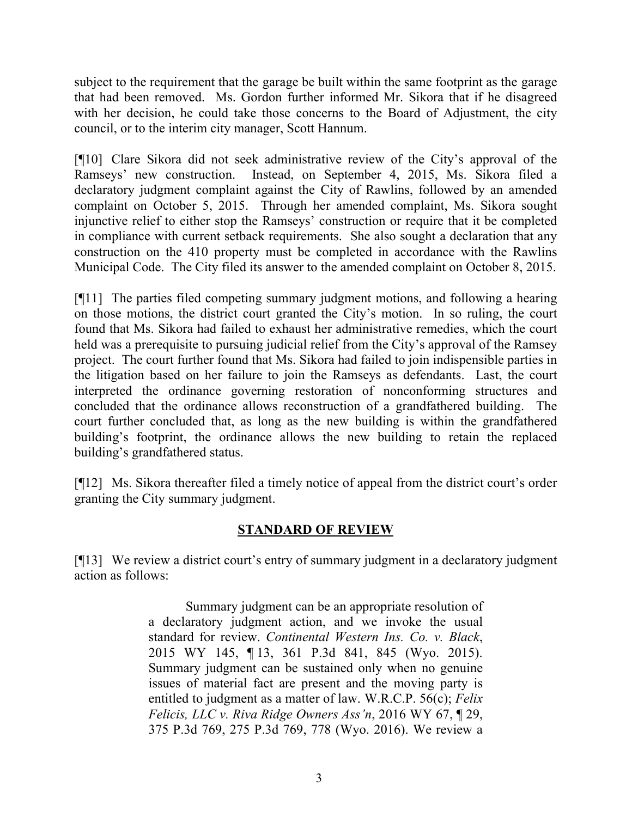subject to the requirement that the garage be built within the same footprint as the garage that had been removed. Ms. Gordon further informed Mr. Sikora that if he disagreed with her decision, he could take those concerns to the Board of Adjustment, the city council, or to the interim city manager, Scott Hannum.

[¶10] Clare Sikora did not seek administrative review of the City's approval of the Ramseys' new construction. Instead, on September 4, 2015, Ms. Sikora filed a declaratory judgment complaint against the City of Rawlins, followed by an amended complaint on October 5, 2015. Through her amended complaint, Ms. Sikora sought injunctive relief to either stop the Ramseys' construction or require that it be completed in compliance with current setback requirements. She also sought a declaration that any construction on the 410 property must be completed in accordance with the Rawlins Municipal Code. The City filed its answer to the amended complaint on October 8, 2015.

[¶11] The parties filed competing summary judgment motions, and following a hearing on those motions, the district court granted the City's motion. In so ruling, the court found that Ms. Sikora had failed to exhaust her administrative remedies, which the court held was a prerequisite to pursuing judicial relief from the City's approval of the Ramsey project. The court further found that Ms. Sikora had failed to join indispensible parties in the litigation based on her failure to join the Ramseys as defendants. Last, the court interpreted the ordinance governing restoration of nonconforming structures and concluded that the ordinance allows reconstruction of a grandfathered building. The court further concluded that, as long as the new building is within the grandfathered building's footprint, the ordinance allows the new building to retain the replaced building's grandfathered status.

[¶12] Ms. Sikora thereafter filed a timely notice of appeal from the district court's order granting the City summary judgment.

# **STANDARD OF REVIEW**

[¶13] We review a district court's entry of summary judgment in a declaratory judgment action as follows:

> Summary judgment can be an appropriate resolution of a declaratory judgment action, and we invoke the usual standard for review. *Continental Western Ins. Co. v. Black*, 2015 WY 145, ¶ 13, 361 P.3d 841, 845 (Wyo. 2015). Summary judgment can be sustained only when no genuine issues of material fact are present and the moving party is entitled to judgment as a matter of law. W.R.C.P. 56(c); *Felix Felicis, LLC v. Riva Ridge Owners Ass'n*, 2016 WY 67, ¶ 29, 375 P.3d 769, 275 P.3d 769, 778 (Wyo. 2016). We review a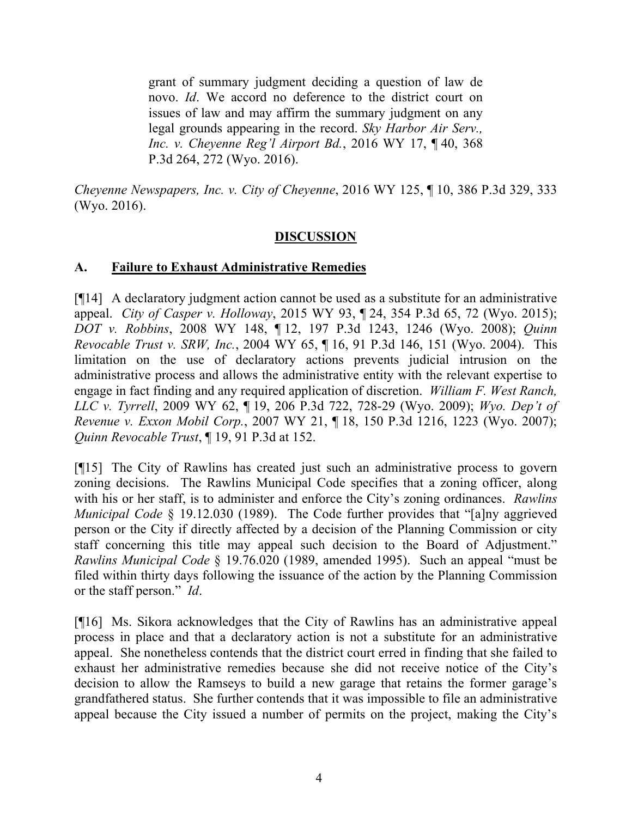grant of summary judgment deciding a question of law de novo. *Id*. We accord no deference to the district court on issues of law and may affirm the summary judgment on any legal grounds appearing in the record. *Sky Harbor Air Serv., Inc. v. Cheyenne Reg'l Airport Bd.*, 2016 WY 17, ¶ 40, 368 P.3d 264, 272 (Wyo. 2016).

*Cheyenne Newspapers, Inc. v. City of Cheyenne*, 2016 WY 125, ¶ 10, 386 P.3d 329, 333 (Wyo. 2016).

# **DISCUSSION**

# **A. Failure to Exhaust Administrative Remedies**

[¶14] A declaratory judgment action cannot be used as a substitute for an administrative appeal. *City of Casper v. Holloway*, 2015 WY 93, ¶ 24, 354 P.3d 65, 72 (Wyo. 2015); *DOT v. Robbins*, 2008 WY 148, ¶ 12, 197 P.3d 1243, 1246 (Wyo. 2008); *Quinn Revocable Trust v. SRW, Inc.*, 2004 WY 65, ¶ 16, 91 P.3d 146, 151 (Wyo. 2004). This limitation on the use of declaratory actions prevents judicial intrusion on the administrative process and allows the administrative entity with the relevant expertise to engage in fact finding and any required application of discretion. *William F. West Ranch, LLC v. Tyrrell*, 2009 WY 62, ¶ 19, 206 P.3d 722, 728-29 (Wyo. 2009); *Wyo. Dep't of Revenue v. Exxon Mobil Corp.*, 2007 WY 21, ¶ 18, 150 P.3d 1216, 1223 (Wyo. 2007); *Quinn Revocable Trust*, ¶ 19, 91 P.3d at 152.

[¶15] The City of Rawlins has created just such an administrative process to govern zoning decisions. The Rawlins Municipal Code specifies that a zoning officer, along with his or her staff, is to administer and enforce the City's zoning ordinances. *Rawlins Municipal Code* § 19.12.030 (1989). The Code further provides that "[a]ny aggrieved person or the City if directly affected by a decision of the Planning Commission or city staff concerning this title may appeal such decision to the Board of Adjustment." *Rawlins Municipal Code* § 19.76.020 (1989, amended 1995). Such an appeal "must be filed within thirty days following the issuance of the action by the Planning Commission or the staff person." *Id*.

[¶16] Ms. Sikora acknowledges that the City of Rawlins has an administrative appeal process in place and that a declaratory action is not a substitute for an administrative appeal. She nonetheless contends that the district court erred in finding that she failed to exhaust her administrative remedies because she did not receive notice of the City's decision to allow the Ramseys to build a new garage that retains the former garage's grandfathered status. She further contends that it was impossible to file an administrative appeal because the City issued a number of permits on the project, making the City's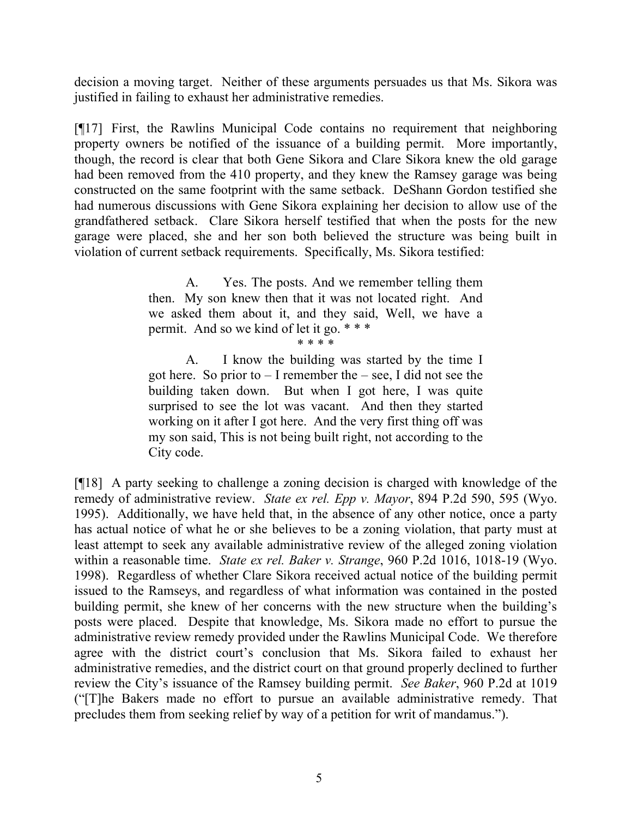decision a moving target. Neither of these arguments persuades us that Ms. Sikora was justified in failing to exhaust her administrative remedies.

[¶17] First, the Rawlins Municipal Code contains no requirement that neighboring property owners be notified of the issuance of a building permit. More importantly, though, the record is clear that both Gene Sikora and Clare Sikora knew the old garage had been removed from the 410 property, and they knew the Ramsey garage was being constructed on the same footprint with the same setback. DeShann Gordon testified she had numerous discussions with Gene Sikora explaining her decision to allow use of the grandfathered setback. Clare Sikora herself testified that when the posts for the new garage were placed, she and her son both believed the structure was being built in violation of current setback requirements. Specifically, Ms. Sikora testified:

> A. Yes. The posts. And we remember telling them then. My son knew then that it was not located right. And we asked them about it, and they said, Well, we have a permit. And so we kind of let it go. \* \* \*

\* \* \* \*

A. I know the building was started by the time I got here. So prior to  $- I$  remember the  $-$  see, I did not see the building taken down. But when I got here, I was quite surprised to see the lot was vacant. And then they started working on it after I got here. And the very first thing off was my son said, This is not being built right, not according to the City code.

[¶18] A party seeking to challenge a zoning decision is charged with knowledge of the remedy of administrative review. *State ex rel. Epp v. Mayor*, 894 P.2d 590, 595 (Wyo. 1995). Additionally, we have held that, in the absence of any other notice, once a party has actual notice of what he or she believes to be a zoning violation, that party must at least attempt to seek any available administrative review of the alleged zoning violation within a reasonable time. *State ex rel. Baker v. Strange*, 960 P.2d 1016, 1018-19 (Wyo. 1998). Regardless of whether Clare Sikora received actual notice of the building permit issued to the Ramseys, and regardless of what information was contained in the posted building permit, she knew of her concerns with the new structure when the building's posts were placed. Despite that knowledge, Ms. Sikora made no effort to pursue the administrative review remedy provided under the Rawlins Municipal Code. We therefore agree with the district court's conclusion that Ms. Sikora failed to exhaust her administrative remedies, and the district court on that ground properly declined to further review the City's issuance of the Ramsey building permit. *See Baker*, 960 P.2d at 1019 ("[T]he Bakers made no effort to pursue an available administrative remedy. That precludes them from seeking relief by way of a petition for writ of mandamus.").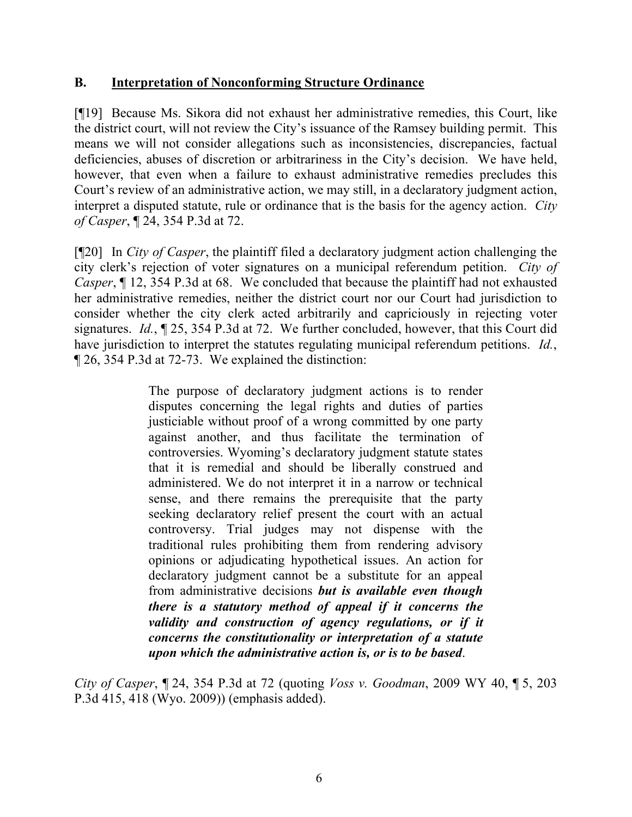## **B. Interpretation of Nonconforming Structure Ordinance**

[¶19] Because Ms. Sikora did not exhaust her administrative remedies, this Court, like the district court, will not review the City's issuance of the Ramsey building permit. This means we will not consider allegations such as inconsistencies, discrepancies, factual deficiencies, abuses of discretion or arbitrariness in the City's decision. We have held, however, that even when a failure to exhaust administrative remedies precludes this Court's review of an administrative action, we may still, in a declaratory judgment action, interpret a disputed statute, rule or ordinance that is the basis for the agency action. *City of Casper*, ¶ 24, 354 P.3d at 72.

[¶20] In *City of Casper*, the plaintiff filed a declaratory judgment action challenging the city clerk's rejection of voter signatures on a municipal referendum petition. *City of Casper*, ¶ 12, 354 P.3d at 68. We concluded that because the plaintiff had not exhausted her administrative remedies, neither the district court nor our Court had jurisdiction to consider whether the city clerk acted arbitrarily and capriciously in rejecting voter signatures. *Id.*, ¶ 25, 354 P.3d at 72. We further concluded, however, that this Court did have jurisdiction to interpret the statutes regulating municipal referendum petitions. *Id.*, ¶ 26, 354 P.3d at 72-73. We explained the distinction:

> The purpose of declaratory judgment actions is to render disputes concerning the legal rights and duties of parties justiciable without proof of a wrong committed by one party against another, and thus facilitate the termination of controversies. Wyoming's declaratory judgment statute states that it is remedial and should be liberally construed and administered. We do not interpret it in a narrow or technical sense, and there remains the prerequisite that the party seeking declaratory relief present the court with an actual controversy. Trial judges may not dispense with the traditional rules prohibiting them from rendering advisory opinions or adjudicating hypothetical issues. An action for declaratory judgment cannot be a substitute for an appeal from administrative decisions *but is available even though there is a statutory method of appeal if it concerns the validity and construction of agency regulations, or if it concerns the constitutionality or interpretation of a statute upon which the administrative action is, or is to be based*.

*City of Casper*, ¶ 24, 354 P.3d at 72 (quoting *Voss v. Goodman*, 2009 WY 40, ¶ 5, 203 P.3d 415, 418 (Wyo. 2009)) (emphasis added).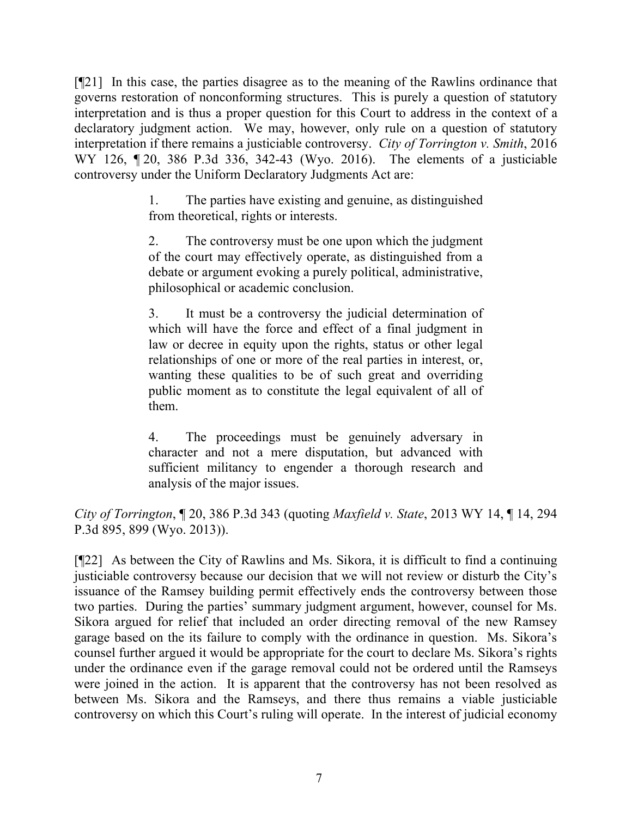[¶21] In this case, the parties disagree as to the meaning of the Rawlins ordinance that governs restoration of nonconforming structures. This is purely a question of statutory interpretation and is thus a proper question for this Court to address in the context of a declaratory judgment action. We may, however, only rule on a question of statutory interpretation if there remains a justiciable controversy. *City of Torrington v. Smith*, 2016 WY 126, ¶ 20, 386 P.3d 336, 342-43 (Wyo. 2016). The elements of a justiciable controversy under the Uniform Declaratory Judgments Act are:

> 1. The parties have existing and genuine, as distinguished from theoretical, rights or interests.

> 2. The controversy must be one upon which the judgment of the court may effectively operate, as distinguished from a debate or argument evoking a purely political, administrative, philosophical or academic conclusion.

> 3. It must be a controversy the judicial determination of which will have the force and effect of a final judgment in law or decree in equity upon the rights, status or other legal relationships of one or more of the real parties in interest, or, wanting these qualities to be of such great and overriding public moment as to constitute the legal equivalent of all of them.

> 4. The proceedings must be genuinely adversary in character and not a mere disputation, but advanced with sufficient militancy to engender a thorough research and analysis of the major issues.

*City of Torrington*, ¶ 20, 386 P.3d 343 (quoting *Maxfield v. State*, 2013 WY 14, ¶ 14, 294 P.3d 895, 899 (Wyo. 2013)).

[¶22] As between the City of Rawlins and Ms. Sikora, it is difficult to find a continuing justiciable controversy because our decision that we will not review or disturb the City's issuance of the Ramsey building permit effectively ends the controversy between those two parties. During the parties' summary judgment argument, however, counsel for Ms. Sikora argued for relief that included an order directing removal of the new Ramsey garage based on the its failure to comply with the ordinance in question. Ms. Sikora's counsel further argued it would be appropriate for the court to declare Ms. Sikora's rights under the ordinance even if the garage removal could not be ordered until the Ramseys were joined in the action. It is apparent that the controversy has not been resolved as between Ms. Sikora and the Ramseys, and there thus remains a viable justiciable controversy on which this Court's ruling will operate. In the interest of judicial economy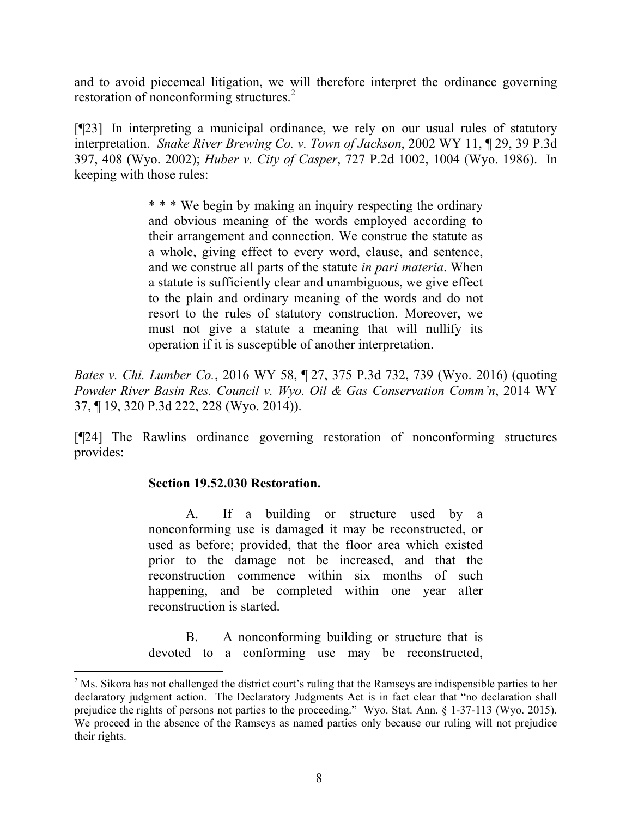and to avoid piecemeal litigation, we will therefore interpret the ordinance governing restoration of nonconforming structures.<sup>2</sup>

[¶23] In interpreting a municipal ordinance, we rely on our usual rules of statutory interpretation. *Snake River Brewing Co. v. Town of Jackson*, 2002 WY 11, ¶ 29, 39 P.3d 397, 408 (Wyo. 2002); *Huber v. City of Casper*, 727 P.2d 1002, 1004 (Wyo. 1986). In keeping with those rules:

> \* \* \* We begin by making an inquiry respecting the ordinary and obvious meaning of the words employed according to their arrangement and connection. We construe the statute as a whole, giving effect to every word, clause, and sentence, and we construe all parts of the statute *in pari materia*. When a statute is sufficiently clear and unambiguous, we give effect to the plain and ordinary meaning of the words and do not resort to the rules of statutory construction. Moreover, we must not give a statute a meaning that will nullify its operation if it is susceptible of another interpretation.

*Bates v. Chi. Lumber Co.*, 2016 WY 58, ¶ 27, 375 P.3d 732, 739 (Wyo. 2016) (quoting *Powder River Basin Res. Council v. Wyo. Oil & Gas Conservation Comm'n*, 2014 WY 37, ¶ 19, 320 P.3d 222, 228 (Wyo. 2014)).

[¶24] The Rawlins ordinance governing restoration of nonconforming structures provides:

### **Section 19.52.030 Restoration.**

 $\overline{a}$ 

A. If a building or structure used by a nonconforming use is damaged it may be reconstructed, or used as before; provided, that the floor area which existed prior to the damage not be increased, and that the reconstruction commence within six months of such happening, and be completed within one year after reconstruction is started.

B. A nonconforming building or structure that is devoted to a conforming use may be reconstructed,

<sup>&</sup>lt;sup>2</sup> Ms. Sikora has not challenged the district court's ruling that the Ramseys are indispensible parties to her declaratory judgment action. The Declaratory Judgments Act is in fact clear that "no declaration shall prejudice the rights of persons not parties to the proceeding." Wyo. Stat. Ann. § 1-37-113 (Wyo. 2015). We proceed in the absence of the Ramseys as named parties only because our ruling will not prejudice their rights.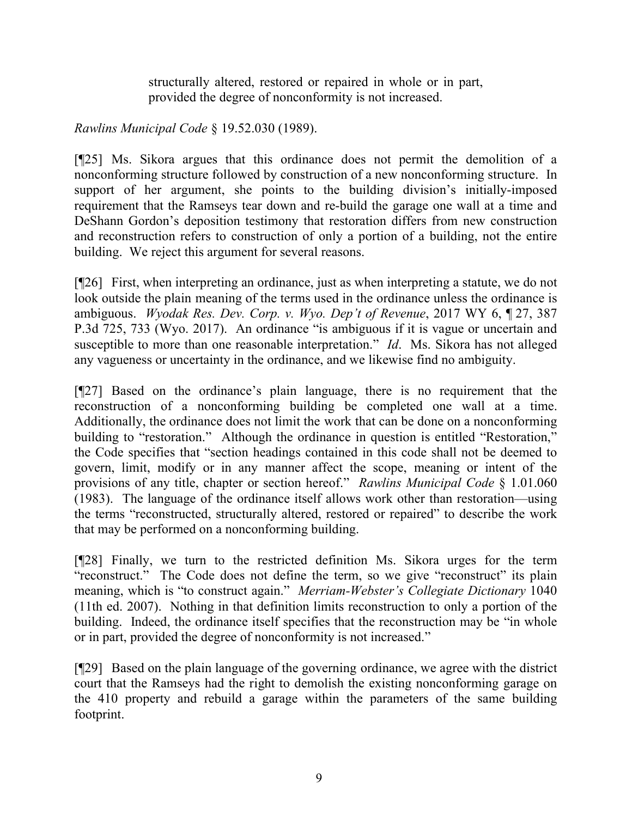structurally altered, restored or repaired in whole or in part, provided the degree of nonconformity is not increased.

*Rawlins Municipal Code* § 19.52.030 (1989).

[¶25] Ms. Sikora argues that this ordinance does not permit the demolition of a nonconforming structure followed by construction of a new nonconforming structure. In support of her argument, she points to the building division's initially-imposed requirement that the Ramseys tear down and re-build the garage one wall at a time and DeShann Gordon's deposition testimony that restoration differs from new construction and reconstruction refers to construction of only a portion of a building, not the entire building. We reject this argument for several reasons.

[¶26] First, when interpreting an ordinance, just as when interpreting a statute, we do not look outside the plain meaning of the terms used in the ordinance unless the ordinance is ambiguous. *Wyodak Res. Dev. Corp. v. Wyo. Dep't of Revenue*, 2017 WY 6, ¶ 27, 387 P.3d 725, 733 (Wyo. 2017). An ordinance "is ambiguous if it is vague or uncertain and susceptible to more than one reasonable interpretation." *Id*. Ms. Sikora has not alleged any vagueness or uncertainty in the ordinance, and we likewise find no ambiguity.

[¶27] Based on the ordinance's plain language, there is no requirement that the reconstruction of a nonconforming building be completed one wall at a time. Additionally, the ordinance does not limit the work that can be done on a nonconforming building to "restoration." Although the ordinance in question is entitled "Restoration," the Code specifies that "section headings contained in this code shall not be deemed to govern, limit, modify or in any manner affect the scope, meaning or intent of the provisions of any title, chapter or section hereof." *Rawlins Municipal Code* § 1.01.060 (1983). The language of the ordinance itself allows work other than restoration—using the terms "reconstructed, structurally altered, restored or repaired" to describe the work that may be performed on a nonconforming building.

[¶28] Finally, we turn to the restricted definition Ms. Sikora urges for the term "reconstruct." The Code does not define the term, so we give "reconstruct" its plain meaning, which is "to construct again." *Merriam-Webster's Collegiate Dictionary* 1040 (11th ed. 2007). Nothing in that definition limits reconstruction to only a portion of the building. Indeed, the ordinance itself specifies that the reconstruction may be "in whole or in part, provided the degree of nonconformity is not increased."

[¶29] Based on the plain language of the governing ordinance, we agree with the district court that the Ramseys had the right to demolish the existing nonconforming garage on the 410 property and rebuild a garage within the parameters of the same building footprint.